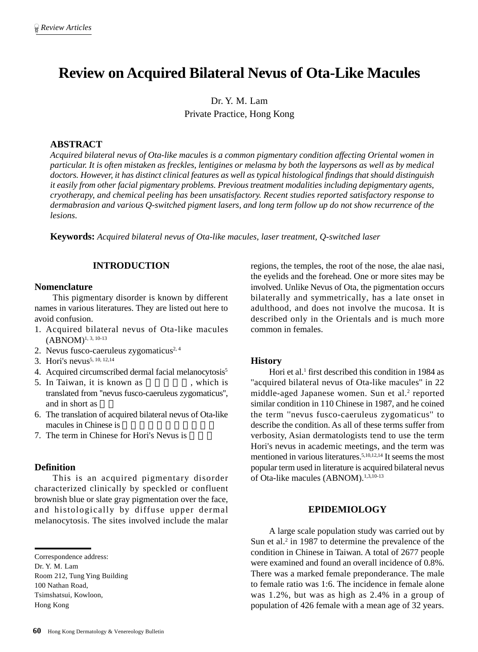# **Review on Acquired Bilateral Nevus of Ota-Like Macules**

Dr. Y. M. Lam Private Practice, Hong Kong

# **ABSTRACT**

*Acquired bilateral nevus of Ota-like macules is a common pigmentary condition affecting Oriental women in particular. It is often mistaken as freckles, lentigines or melasma by both the laypersons as well as by medical doctors. However, it has distinct clinical features as well as typical histological findings that should distinguish it easily from other facial pigmentary problems. Previous treatment modalities including depigmentary agents, cryotherapy, and chemical peeling has been unsatisfactory. Recent studies reported satisfactory response to dermabrasion and various Q-switched pigment lasers, and long term follow up do not show recurrence of the lesions.*

**Keywords:** *Acquired bilateral nevus of Ota-like macules, laser treatment, Q-switched laser*

# **INTRODUCTION**

#### **Nomenclature**

This pigmentary disorder is known by different names in various literatures. They are listed out here to avoid confusion.

- 1. Acquired bilateral nevus of Ota-like macules  $(ABNOM)^{1, 3, 10-13}$
- 2. Nevus fusco-caeruleus zygomaticus<sup>2, 4</sup>
- 3. Hori's nevus<sup>5, 10, 12, 14</sup>
- 4. Acquired circumscribed dermal facial melanocytosis<sup>5</sup>
- 5. In Taiwan, it is known as , which is translated from ''nevus fusco-caeruleus zygomaticus'', and in short as
- 6. The translation of acquired bilateral nevus of Ota-like macules in Chinese is
- 7. The term in Chinese for Hori's Nevus is

### **Definition**

This is an acquired pigmentary disorder characterized clinically by speckled or confluent brownish blue or slate gray pigmentation over the face, and histologically by diffuse upper dermal melanocytosis. The sites involved include the malar

Room 212, Tung Ying Building 100 Nathan Road, Tsimshatsui, Kowloon, Hong Kong

regions, the temples, the root of the nose, the alae nasi, the eyelids and the forehead. One or more sites may be involved. Unlike Nevus of Ota, the pigmentation occurs bilaterally and symmetrically, has a late onset in adulthood, and does not involve the mucosa. It is described only in the Orientals and is much more common in females.

#### **History**

Hori et al.<sup>1</sup> first described this condition in 1984 as "acquired bilateral nevus of Ota-like macules" in 22 middle-aged Japanese women. Sun et al.<sup>2</sup> reported similar condition in 110 Chinese in 1987, and he coined the term ''nevus fusco-caeruleus zygomaticus'' to describe the condition. As all of these terms suffer from verbosity, Asian dermatologists tend to use the term Hori's nevus in academic meetings, and the term was mentioned in various literatures.<sup>5,10,12,14</sup> It seems the most popular term used in literature is acquired bilateral nevus of Ota-like macules (ABNOM).<sup>1,3,10-13</sup>

## **EPIDEMIOLOGY**

A large scale population study was carried out by Sun et al. $2$  in 1987 to determine the prevalence of the condition in Chinese in Taiwan. A total of 2677 people were examined and found an overall incidence of 0.8%. There was a marked female preponderance. The male to female ratio was 1:6. The incidence in female alone was 1.2%, but was as high as 2.4% in a group of population of 426 female with a mean age of 32 years.

Correspondence address:

Dr. Y. M. Lam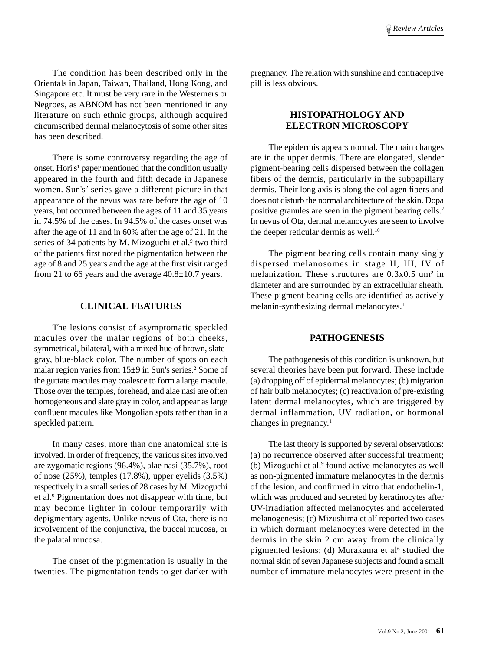The condition has been described only in the Orientals in Japan, Taiwan, Thailand, Hong Kong, and Singapore etc. It must be very rare in the Westerners or Negroes, as ABNOM has not been mentioned in any literature on such ethnic groups, although acquired circumscribed dermal melanocytosis of some other sites has been described.

There is some controversy regarding the age of onset. Hori's<sup>1</sup> paper mentioned that the condition usually appeared in the fourth and fifth decade in Japanese women. Sun's<sup>2</sup> series gave a different picture in that appearance of the nevus was rare before the age of 10 years, but occurred between the ages of 11 and 35 years in 74.5% of the cases. In 94.5% of the cases onset was after the age of 11 and in 60% after the age of 21. In the series of 34 patients by M. Mizoguchi et al,<sup>9</sup> two third of the patients first noted the pigmentation between the age of 8 and 25 years and the age at the first visit ranged from 21 to 66 years and the average 40.8±10.7 years.

### **CLINICAL FEATURES**

The lesions consist of asymptomatic speckled macules over the malar regions of both cheeks, symmetrical, bilateral, with a mixed hue of brown, slategray, blue-black color. The number of spots on each malar region varies from 15±9 in Sun's series.<sup>2</sup> Some of the guttate macules may coalesce to form a large macule. Those over the temples, forehead, and alae nasi are often homogeneous and slate gray in color, and appear as large confluent macules like Mongolian spots rather than in a speckled pattern.

In many cases, more than one anatomical site is involved. In order of frequency, the various sites involved are zygomatic regions (96.4%), alae nasi (35.7%), root of nose (25%), temples (17.8%), upper eyelids (3.5%) respectively in a small series of 28 cases by M. Mizoguchi et al.9 Pigmentation does not disappear with time, but may become lighter in colour temporarily with depigmentary agents. Unlike nevus of Ota, there is no involvement of the conjunctiva, the buccal mucosa, or the palatal mucosa.

The onset of the pigmentation is usually in the twenties. The pigmentation tends to get darker with pregnancy. The relation with sunshine and contraceptive pill is less obvious.

# **HISTOPATHOLOGY AND ELECTRON MICROSCOPY**

The epidermis appears normal. The main changes are in the upper dermis. There are elongated, slender pigment-bearing cells dispersed between the collagen fibers of the dermis, particularly in the subpapillary dermis. Their long axis is along the collagen fibers and does not disturb the normal architecture of the skin. Dopa positive granules are seen in the pigment bearing cells.2 In nevus of Ota, dermal melanocytes are seen to involve the deeper reticular dermis as well.<sup>10</sup>

The pigment bearing cells contain many singly dispersed melanosomes in stage II, III, IV of melanization. These structures are  $0.3x0.5$  um<sup>2</sup> in diameter and are surrounded by an extracellular sheath. These pigment bearing cells are identified as actively melanin-synthesizing dermal melanocytes.<sup>1</sup>

# **PATHOGENESIS**

The pathogenesis of this condition is unknown, but several theories have been put forward. These include (a) dropping off of epidermal melanocytes; (b) migration of hair bulb melanocytes; (c) reactivation of pre-existing latent dermal melanocytes, which are triggered by dermal inflammation, UV radiation, or hormonal changes in pregnancy.1

The last theory is supported by several observations: (a) no recurrence observed after successful treatment; (b) Mizoguchi et al.<sup>9</sup> found active melanocytes as well as non-pigmented immature melanocytes in the dermis of the lesion, and confirmed in vitro that endothelin-1, which was produced and secreted by keratinocytes after UV-irradiation affected melanocytes and accelerated melanogenesis; (c) Mizushima et al<sup>7</sup> reported two cases in which dormant melanocytes were detected in the dermis in the skin 2 cm away from the clinically pigmented lesions; (d) Murakama et al<sup>6</sup> studied the normal skin of seven Japanese subjects and found a small number of immature melanocytes were present in the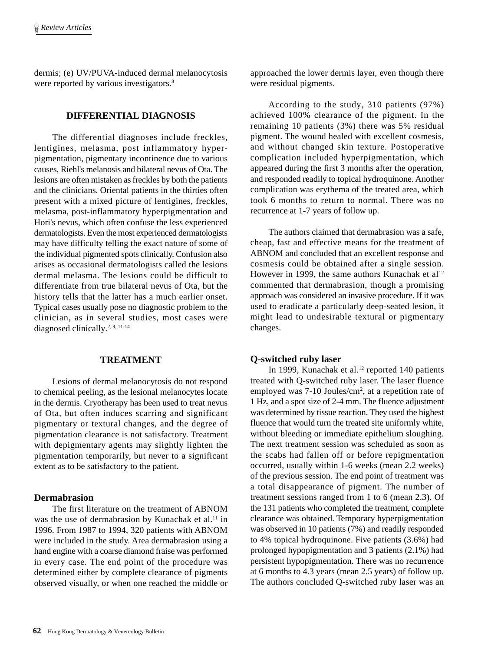dermis; (e) UV/PUVA-induced dermal melanocytosis were reported by various investigators.<sup>8</sup>

# **DIFFERENTIAL DIAGNOSIS**

The differential diagnoses include freckles, lentigines, melasma, post inflammatory hyperpigmentation, pigmentary incontinence due to various causes, Riehl's melanosis and bilateral nevus of Ota. The lesions are often mistaken as freckles by both the patients and the clinicians. Oriental patients in the thirties often present with a mixed picture of lentigines, freckles, melasma, post-inflammatory hyperpigmentation and Hori's nevus, which often confuse the less experienced dermatologists. Even the most experienced dermatologists may have difficulty telling the exact nature of some of the individual pigmented spots clinically. Confusion also arises as occasional dermatologists called the lesions dermal melasma. The lesions could be difficult to differentiate from true bilateral nevus of Ota, but the history tells that the latter has a much earlier onset. Typical cases usually pose no diagnostic problem to the clinician, as in several studies, most cases were diagnosed clinically.<sup>2, 9, 11-14</sup>

# **TREATMENT**

Lesions of dermal melanocytosis do not respond to chemical peeling, as the lesional melanocytes locate in the dermis. Cryotherapy has been used to treat nevus of Ota, but often induces scarring and significant pigmentary or textural changes, and the degree of pigmentation clearance is not satisfactory. Treatment with depigmentary agents may slightly lighten the pigmentation temporarily, but never to a significant extent as to be satisfactory to the patient.

### **Dermabrasion**

The first literature on the treatment of ABNOM was the use of dermabrasion by Kunachak et al.<sup>11</sup> in 1996. From 1987 to 1994, 320 patients with ABNOM were included in the study. Area dermabrasion using a hand engine with a coarse diamond fraise was performed in every case. The end point of the procedure was determined either by complete clearance of pigments observed visually, or when one reached the middle or approached the lower dermis layer, even though there were residual pigments.

According to the study, 310 patients (97%) achieved 100% clearance of the pigment. In the remaining 10 patients (3%) there was 5% residual pigment. The wound healed with excellent cosmesis, and without changed skin texture. Postoperative complication included hyperpigmentation, which appeared during the first 3 months after the operation, and responded readily to topical hydroquinone. Another complication was erythema of the treated area, which took 6 months to return to normal. There was no recurrence at 1-7 years of follow up.

The authors claimed that dermabrasion was a safe, cheap, fast and effective means for the treatment of ABNOM and concluded that an excellent response and cosmesis could be obtained after a single session. However in 1999, the same authors Kunachak et  $al^{12}$ commented that dermabrasion, though a promising approach was considered an invasive procedure. If it was used to eradicate a particularly deep-seated lesion, it might lead to undesirable textural or pigmentary changes.

#### **Q-switched ruby laser**

In 1999, Kunachak et al.<sup>12</sup> reported 140 patients treated with Q-switched ruby laser. The laser fluence employed was 7-10 Joules/cm<sup>2</sup>, at a repetition rate of 1 Hz, and a spot size of 2-4 mm. The fluence adjustment was determined by tissue reaction. They used the highest fluence that would turn the treated site uniformly white, without bleeding or immediate epithelium sloughing. The next treatment session was scheduled as soon as the scabs had fallen off or before repigmentation occurred, usually within 1-6 weeks (mean 2.2 weeks) of the previous session. The end point of treatment was a total disappearance of pigment. The number of treatment sessions ranged from 1 to 6 (mean 2.3). Of the 131 patients who completed the treatment, complete clearance was obtained. Temporary hyperpigmentation was observed in 10 patients (7%) and readily responded to 4% topical hydroquinone. Five patients (3.6%) had prolonged hypopigmentation and 3 patients (2.1%) had persistent hypopigmentation. There was no recurrence at 6 months to 4.3 years (mean 2.5 years) of follow up. The authors concluded Q-switched ruby laser was an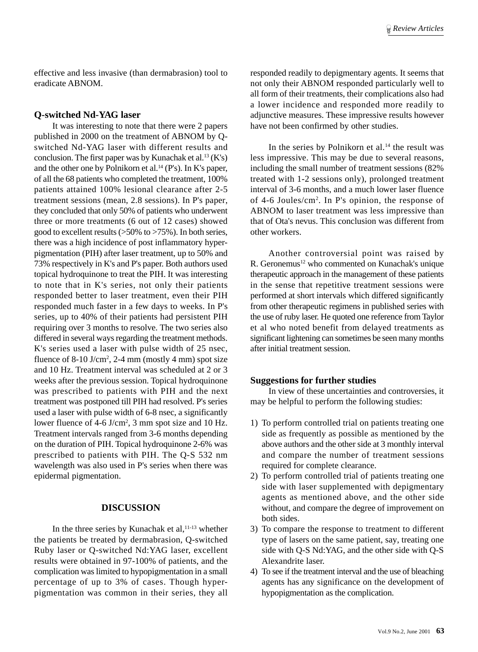effective and less invasive (than dermabrasion) tool to eradicate ABNOM.

#### **Q-switched Nd-YAG laser**

It was interesting to note that there were 2 papers published in 2000 on the treatment of ABNOM by Qswitched Nd-YAG laser with different results and conclusion. The first paper was by Kunachak et al.<sup>13</sup> (K's) and the other one by Polnikorn et al.<sup>14</sup> (P's). In K's paper, of all the 68 patients who completed the treatment, 100% patients attained 100% lesional clearance after 2-5 treatment sessions (mean, 2.8 sessions). In P's paper, they concluded that only 50% of patients who underwent three or more treatments (6 out of 12 cases) showed good to excellent results (>50% to >75%). In both series, there was a high incidence of post inflammatory hyperpigmentation (PIH) after laser treatment, up to 50% and 73% respectively in K's and P's paper. Both authors used topical hydroquinone to treat the PIH. It was interesting to note that in K's series, not only their patients responded better to laser treatment, even their PIH responded much faster in a few days to weeks. In P's series, up to 40% of their patients had persistent PIH requiring over 3 months to resolve. The two series also differed in several ways regarding the treatment methods. K's series used a laser with pulse width of 25 nsec, fluence of  $8-10$  J/cm<sup>2</sup>, 2-4 mm (mostly 4 mm) spot size and 10 Hz. Treatment interval was scheduled at 2 or 3 weeks after the previous session. Topical hydroquinone was prescribed to patients with PIH and the next treatment was postponed till PIH had resolved. P's series used a laser with pulse width of 6-8 nsec, a significantly lower fluence of 4-6 J/cm<sup>2</sup>, 3 mm spot size and 10 Hz. Treatment intervals ranged from 3-6 months depending on the duration of PIH. Topical hydroquinone 2-6% was prescribed to patients with PIH. The Q-S 532 nm wavelength was also used in P's series when there was epidermal pigmentation.

## **DISCUSSION**

In the three series by Kunachak et al, $11-13$  whether the patients be treated by dermabrasion, Q-switched Ruby laser or Q-switched Nd:YAG laser, excellent results were obtained in 97-100% of patients, and the complication was limited to hypopigmentation in a small percentage of up to 3% of cases. Though hyperpigmentation was common in their series, they all

responded readily to depigmentary agents. It seems that not only their ABNOM responded particularly well to all form of their treatments, their complications also had a lower incidence and responded more readily to adjunctive measures. These impressive results however have not been confirmed by other studies.

In the series by Polnikorn et al. $14$  the result was less impressive. This may be due to several reasons, including the small number of treatment sessions (82% treated with 1-2 sessions only), prolonged treatment interval of 3-6 months, and a much lower laser fluence of 4-6 Joules/cm2 . In P's opinion, the response of ABNOM to laser treatment was less impressive than that of Ota's nevus. This conclusion was different from other workers.

Another controversial point was raised by R. Geronemus<sup>12</sup> who commented on Kunachak's unique therapeutic approach in the management of these patients in the sense that repetitive treatment sessions were performed at short intervals which differed significantly from other therapeutic regimens in published series with the use of ruby laser. He quoted one reference from Taylor et al who noted benefit from delayed treatments as significant lightening can sometimes be seen many months after initial treatment session.

#### **Suggestions for further studies**

In view of these uncertainties and controversies, it may be helpful to perform the following studies:

- 1) To perform controlled trial on patients treating one side as frequently as possible as mentioned by the above authors and the other side at 3 monthly interval and compare the number of treatment sessions required for complete clearance.
- 2) To perform controlled trial of patients treating one side with laser supplemented with depigmentary agents as mentioned above, and the other side without, and compare the degree of improvement on both sides.
- 3) To compare the response to treatment to different type of lasers on the same patient, say, treating one side with Q-S Nd:YAG, and the other side with Q-S Alexandrite laser.
- 4) To see if the treatment interval and the use of bleaching agents has any significance on the development of hypopigmentation as the complication.